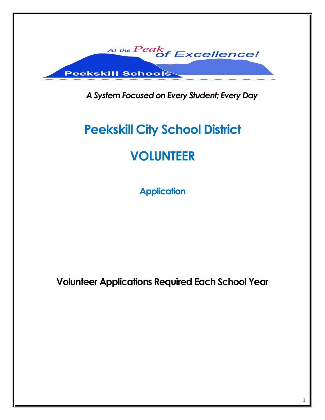

*A System Focused on Every Student; Every Day*

# **Peekskill City School District**

## **VOLUNTEER**

**Application**

**Volunteer Applications Required Each School Year**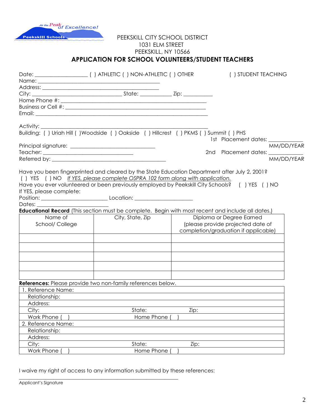

#### PEEKSKILL CITY SCHOOL DISTRICT 1031 ELM STREET PEEKSKILL, NY 10566 **APPLICATION FOR SCHOOL VOLUNTEERS/STUDENT TEACHERS**

|                          | Name: 2008 - 2008 - 2010 - 2010 - 2010 - 2010 - 2010 - 2010 - 2010 - 2010 - 2010 - 2010 - 2010 - 2010 - 2010 -                                                                                                                                                                |                                      | () STUDENT TEACHING               |  |  |  |
|--------------------------|-------------------------------------------------------------------------------------------------------------------------------------------------------------------------------------------------------------------------------------------------------------------------------|--------------------------------------|-----------------------------------|--|--|--|
|                          |                                                                                                                                                                                                                                                                               |                                      |                                   |  |  |  |
|                          |                                                                                                                                                                                                                                                                               |                                      |                                   |  |  |  |
|                          |                                                                                                                                                                                                                                                                               |                                      |                                   |  |  |  |
|                          |                                                                                                                                                                                                                                                                               |                                      |                                   |  |  |  |
|                          |                                                                                                                                                                                                                                                                               |                                      |                                   |  |  |  |
|                          |                                                                                                                                                                                                                                                                               |                                      |                                   |  |  |  |
|                          |                                                                                                                                                                                                                                                                               |                                      | 1st Placement dates: __________   |  |  |  |
|                          |                                                                                                                                                                                                                                                                               |                                      | MM/DD/YEAR                        |  |  |  |
|                          |                                                                                                                                                                                                                                                                               |                                      | 2nd Placement dates: __________   |  |  |  |
|                          |                                                                                                                                                                                                                                                                               |                                      | MM/DD/YEAR                        |  |  |  |
| If YES, please complete: | Have you been fingerprinted and cleared by the State Education Department after July 2, 2001?<br>() YES () NO If YES, please complete OSPRA 102 form along with application.<br>Have you ever volunteered or been previously employed by Peekskill City Schools? () YES () NO |                                      |                                   |  |  |  |
|                          |                                                                                                                                                                                                                                                                               |                                      |                                   |  |  |  |
| Dates: <b>Dates</b>      |                                                                                                                                                                                                                                                                               |                                      |                                   |  |  |  |
|                          | <b>Educational Record</b> (This section must be complete. Begin with most recent and include all dates.)                                                                                                                                                                      |                                      |                                   |  |  |  |
| Name of                  | City, State, Zip                                                                                                                                                                                                                                                              |                                      | Diploma or Degree Earned          |  |  |  |
| School/ College          |                                                                                                                                                                                                                                                                               |                                      | (please provide projected date of |  |  |  |
|                          |                                                                                                                                                                                                                                                                               | completion/graduation if applicable) |                                   |  |  |  |
|                          |                                                                                                                                                                                                                                                                               |                                      |                                   |  |  |  |
|                          |                                                                                                                                                                                                                                                                               |                                      |                                   |  |  |  |
|                          |                                                                                                                                                                                                                                                                               |                                      |                                   |  |  |  |
|                          | References: Please provide two non-family references below.                                                                                                                                                                                                                   |                                      |                                   |  |  |  |
| 1. Reference Name:       |                                                                                                                                                                                                                                                                               |                                      |                                   |  |  |  |
| Relationship:            |                                                                                                                                                                                                                                                                               |                                      |                                   |  |  |  |
| Address:                 |                                                                                                                                                                                                                                                                               |                                      |                                   |  |  |  |
| City:                    | State:                                                                                                                                                                                                                                                                        | Zip:                                 |                                   |  |  |  |
| Work Phone               | Home Phone                                                                                                                                                                                                                                                                    |                                      |                                   |  |  |  |
| 2. Reference Name:       |                                                                                                                                                                                                                                                                               |                                      |                                   |  |  |  |
| Relationship:            |                                                                                                                                                                                                                                                                               |                                      |                                   |  |  |  |
| Address:                 |                                                                                                                                                                                                                                                                               |                                      |                                   |  |  |  |
| City:                    | State:                                                                                                                                                                                                                                                                        | Zip:                                 |                                   |  |  |  |
| Work Phone               | Home Phone                                                                                                                                                                                                                                                                    |                                      |                                   |  |  |  |

I waive my right of access to any information submitted by these references:

\_\_\_\_\_\_\_\_\_\_\_\_\_\_\_\_\_\_\_\_\_\_\_\_\_\_\_\_\_\_\_\_\_\_\_\_\_\_\_\_\_\_\_\_\_\_\_\_\_\_\_\_\_\_\_\_\_\_\_\_

| Applicant's Signature |  |
|-----------------------|--|
|-----------------------|--|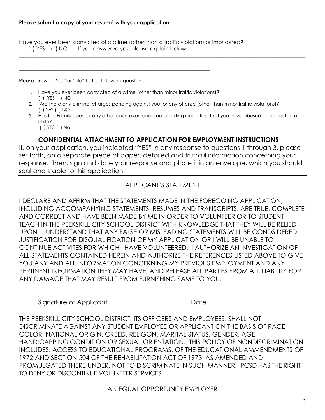#### **Please submit a copy of your resumé with your application.**

Have you ever been convicted of a crime (other than a traffic violation) or imprisoned? ( ) YES ( ) NO If you answered yes, please explain below.

Please answer "Yes" or "No" to the following questions:

1. Have you ever been convicted of a crime (other than minor traffic violations)? ( ) YES ( ) NO

\_\_\_\_\_\_\_\_\_\_\_\_\_\_\_\_\_\_\_\_\_\_\_\_\_\_\_\_\_\_\_\_\_\_\_\_\_\_\_\_\_\_\_\_\_\_\_\_\_\_\_\_\_\_\_\_\_\_\_\_\_\_\_\_\_\_\_\_\_\_\_\_

- 2. Are there any criminal charges pending against you for any offense (other than minor traffic violations)? ( ) YES ( ) NO
- 3. Has the Family court or any other court ever rendered a finding indicating that you have abused or neglected a child?

\_\_\_\_\_\_\_\_\_\_\_\_\_\_\_\_\_\_\_\_\_\_\_\_\_\_\_\_\_\_\_\_\_\_\_\_\_\_\_\_\_\_\_\_\_\_\_\_\_\_\_\_\_\_\_\_\_\_\_\_\_\_\_\_\_\_\_\_\_\_\_\_\_\_\_\_\_\_\_\_\_\_\_\_\_\_\_\_\_\_\_\_\_\_\_\_\_\_\_\_\_\_\_\_\_\_\_\_  $\_$  ,  $\_$  ,  $\_$  ,  $\_$  ,  $\_$  ,  $\_$  ,  $\_$  ,  $\_$  ,  $\_$  ,  $\_$  ,  $\_$  ,  $\_$  ,  $\_$  ,  $\_$  ,  $\_$  ,  $\_$  ,  $\_$  ,  $\_$  ,  $\_$  ,  $\_$  ,  $\_$  ,  $\_$  ,  $\_$  ,  $\_$  ,  $\_$  ,  $\_$  ,  $\_$  ,  $\_$  ,  $\_$  ,  $\_$  ,  $\_$  ,  $\_$  ,  $\_$  ,  $\_$  ,  $\_$  ,  $\_$  ,  $\_$  ,

( ) YES ( ) No

### **CONFIDENTIAL ATTACHMENT TO APPLICATION FOR EMPLOYMENT INSTRUCTIONS**

If, on your application, you indicated "YES" in any response to questions 1 through 3, please set forth, on a separate piece of paper, detailed and truthful information concerning your response. Then, sign and date your response and place it in an envelope, which you should seal and staple to this application.

#### APPLICANT'S STATEMENT

I DECLARE AND AFFIRM THAT THE STATEMENTS MADE IN THE FOREGOING APPLICATION, INCLUDING ACCOMPANYING STATEMENTS, RESUMES AND TRANSCRIPTS, ARE TRUE, COMPLETE AND CORRECT AND HAVE BEEN MADE BY ME IN ORDER TO VOLUNTEER OR TO STUDENT TEACH IN THE PEEKSKILL CITY SCHOOL DISTRICT WITH KNOWLEDGE THAT THEY WILL BE RELIED UPON. I UNDERSTAND THAT ANY FALSE OR MISLEADING STATEMENTS WILL BE CONDSIDERED JUSTIFICATION FOR DISQUALIFICATION OF MY APPLICATION OR I WILL BE UNABLE TO CONTINUE ACTIVITES FOR WHICH I HAVE VOLUNTEERED. I AUTHORIZE AN INVESTIGATION OF ALL STATEMENTS CONTAINED HEREIN AND AUTHORIZE THE REFERENCES LISTED ABOVE TO GIVE YOU ANY AND ALL INFORMATION CONCERNING MY PREVIOUS EMPLOYMENT AND ANY PERTINENT INFORMATION THEY MAY HAVE, AND RELEASE ALL PARTIES FROM ALL LIABILITY FOR ANY DAMAGE THAT MAY RESULT FROM FURNISHING SAME TO YOU.

Signature of Applicant Date Date

THE PEEKSKILL CITY SCHOOL DISTRICT, ITS OFFICERS AND EMPLOYEES, SHALL NOT DISCRIMINATE AGAINST ANY STUDENT EMPLOYEE OR APPLICANT ON THE BASIS OF RACE, COLOR, NATIONAL ORIGIN, CREED, RELIGON, MARITAL STATUS, GENDER, AGE, HANDICAPPING CONDITION OR SEXUAL ORIENTATION. THIS POLICY OF NONDISCRIMINATION INCLUDES: ACCESS TO EDUCATIONAL PROGRAMS, OF THE EDUCATIONAL AMMENDMENTS OF 1972 AND SECTION 504 OF THE REHABILITATION ACT OF 1973, AS AMENDED AND PROMULGATED THERE UNDER, NOT TO DISCRIMINATE IN SUCH MANNER. PCSD HAS THE RIGHT TO DENY OR DISCONTINUE VOLUNTEER SERVICES.

\_\_\_\_\_\_\_\_\_\_\_\_\_\_\_\_\_\_\_\_\_\_\_\_\_\_\_\_\_\_\_\_\_\_\_\_\_ \_\_\_\_\_\_\_\_\_\_\_\_\_\_\_\_\_\_\_\_\_\_\_\_\_\_\_\_\_\_\_\_\_\_\_\_\_

AN EQUAL OPPORTUNITY EMPLOYER